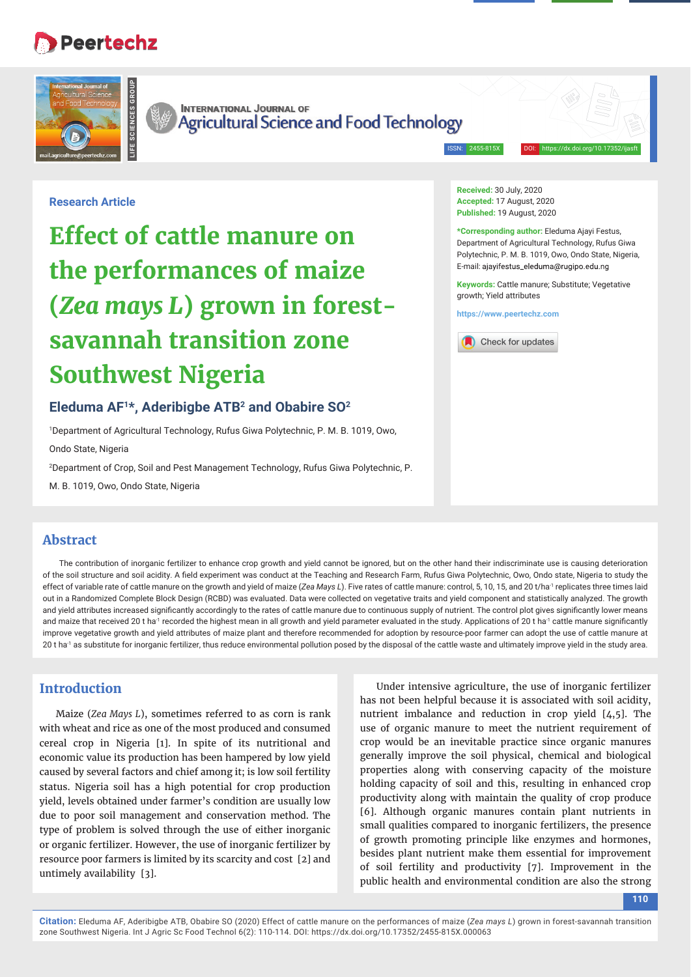## **Peertechz**



**INTERNATIONAL JOURNAL OF Agricultural Science and Food Technology** 

ISSN: 2455-815

**Received:** 30 July, 2020 **Accepted:** 17 August, 2020 Published: 19 August, 2020

**\*Corresponding author:** Eleduma Ajayi Festus, Department of Agricultural Technology, Rufus Giwa Polytechnic, P. M. B. 1019, Owo, Ondo State, Nigeria, E-mail: ajayifestus\_eleduma@rugipo.edu.ng **Keywords:** Cattle manure; Substitute; Vegetative

## **Research Article**

# **Effect of cattle manure on the performances of maize (***Zea mays L***) grown in forestsavannah transition zone Southwest Nigeria**

## **Eleduma AF1\*, Aderibigbe ATB2 and Obabire SO2**

1 Department of Agricultural Technology, Rufus Giwa Polytechnic, P. M. B. 1019, Owo,

Ondo State, Nigeria

2 Department of Crop, Soil and Pest Management Technology, Rufus Giwa Polytechnic, P.

M. B. 1019, Owo, Ondo State, Nigeria

## **Abstract**

The contribution of inorganic fertilizer to enhance crop growth and yield cannot be ignored, but on the other hand their indiscriminate use is causing deterioration of the soil structure and soil acidity. A field experiment was conduct at the Teaching and Research Farm, Rufus Giwa Polytechnic, Owo, Ondo state, Nigeria to study the effect of variable rate of cattle manure on the growth and yield of maize (Zea Mays L). Five rates of cattle manure: control, 5, 10, 15, and 20 t/ha<sup>-1</sup> replicates three times laid out in a Randomized Complete Block Design (RCBD) was evaluated. Data were collected on vegetative traits and yield component and statistically analyzed. The growth and yield attributes increased significantly accordingly to the rates of cattle manure due to continuous supply of nutrient. The control plot gives significantly lower means and maize that received 20 t ha<sup>-1</sup> recorded the highest mean in all growth and yield parameter evaluated in the study. Applications of 20 t ha<sup>-1</sup> cattle manure significantly improve vegetative growth and yield attributes of maize plant and therefore recommended for adoption by resource-poor farmer can adopt the use of cattle manure at 20 t ha<sup>-1</sup> as substitute for inorganic fertilizer, thus reduce environmental pollution posed by the disposal of the cattle waste and ultimately improve yield in the study area.

## **Introduction**

Maize (*Zea Mays L*), sometimes referred to as corn is rank with wheat and rice as one of the most produced and consumed cereal crop in Nigeria [1]. In spite of its nutritional and economic value its production has been hampered by low yield caused by several factors and chief among it; is low soil fertility status. Nigeria soil has a high potential for crop production yield, levels obtained under farmer's condition are usually low due to poor soil management and conservation method. The type of problem is solved through the use of either inorganic or organic fertilizer. However, the use of inorganic fertilizer by resource poor farmers is limited by its scarcity and cost [2] and untimely availability [3].

Under intensive agriculture, the use of inorganic fertilizer has not been helpful because it is associated with soil acidity, nutrient imbalance and reduction in crop yield [4,5]. The use of organic manure to meet the nutrient requirement of crop would be an inevitable practice since organic manures generally improve the soil physical, chemical and biological properties along with conserving capacity of the moisture holding capacity of soil and this, resulting in enhanced crop productivity along with maintain the quality of crop produce [6]. Although organic manures contain plant nutrients in small qualities compared to inorganic fertilizers, the presence of growth promoting principle like enzymes and hormones, besides plant nutrient make them essential for improvement of soil fertility and productivity [7]. Improvement in the public health and environmental condition are also the strong

**110**

**Citation:** Eleduma AF, Aderibigbe ATB, Obabire SO (2020) Effect of cattle manure on the performances of maize (*Zea mays L*) grown in forest-savannah transition zone Southwest Nigeria. Int J Agric Sc Food Technol 6(2): 110-114. DOI: https://dx.doi.org/10.17352/2455-815X.000063



growth; Yield attributes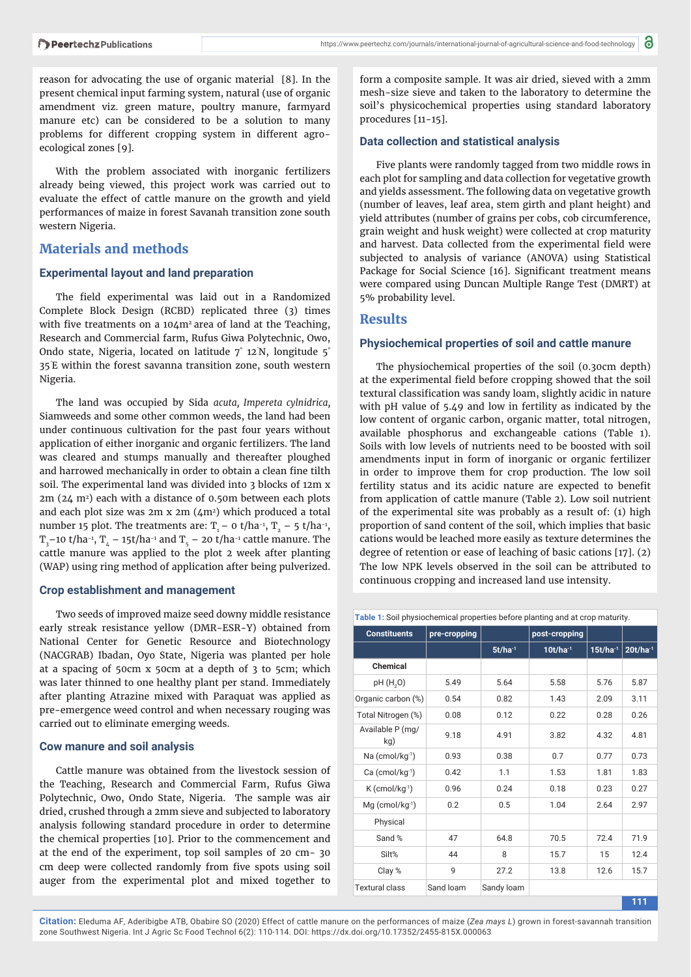reason for advocating the use of organic material [8]. In the present chemical input farming system, natural (use of organic amendment viz. green mature, poultry manure, farmyard manure etc) can be considered to be a solution to many problems for different cropping system in different agroecological zones [9].

With the problem associated with inorganic fertilizers already being viewed, this project work was carried out to evaluate the effect of cattle manure on the growth and yield performances of maize in forest Savanah transition zone south western Nigeria.

## **Materials and methods**

#### **Experimental layout and land preparation**

The field experimental was laid out in a Randomized Complete Block Design (RCBD) replicated three (3) times with five treatments on a  $104m^2$  area of land at the Teaching, Research and Commercial farm, Rufus Giwa Polytechnic, Owo, Ondo state, Nigeria, located on latitude 7° 12´ N, longitude 5° 35´ E within the forest savanna transition zone, south western Nigeria.

The land was occupied by Sida *acuta, Impereta cylnidrica,*  Siamweeds and some other common weeds, the land had been under continuous cultivation for the past four years without application of either inorganic and organic fertilizers. The land was cleared and stumps manually and thereafter ploughed and harrowed mechanically in order to obtain a clean fine tilth soil. The experimental land was divided into 3 blocks of 12m x  $2m$  ( $24$  m<sup>2</sup>) each with a distance of 0.50m between each plots and each plot size was 2m x 2m (4m2) which produced a total number 15 plot. The treatments are:  $T_1$  – 0 t/ha<sup>-1</sup>,  $T_2$  – 5 t/ha<sup>-1</sup>,  $T_{3}$ –10 t/ha<sup>-1</sup>,  $T_{4}$  – 15t/ha<sup>-1</sup> and  $T_{5}$  – 20 t/ha<sup>-1</sup> cattle manure. The cattle manure was applied to the plot 2 week after planting (WAP) using ring method of application after being pulverized.

#### **Crop establishment and management**

Two seeds of improved maize seed downy middle resistance early streak resistance yellow (DMR-ESR-Y) obtained from National Center for Genetic Resource and Biotechnology (NACGRAB) Ibadan, Oyo State, Nigeria was planted per hole at a spacing of 50cm x 50cm at a depth of 3 to 5cm; which was later thinned to one healthy plant per stand. Immediately after planting Atrazine mixed with Paraquat was applied as pre-emergence weed control and when necessary rouging was carried out to eliminate emerging weeds.

#### **Cow manure and soil analysis**

Cattle manure was obtained from the livestock session of the Teaching, Research and Commercial Farm, Rufus Giwa Polytechnic, Owo, Ondo State, Nigeria. The sample was air dried, crushed through a 2mm sieve and subjected to laboratory analysis following standard procedure in order to determine the chemical properties [10]. Prior to the commencement and at the end of the experiment, top soil samples of 20 cm- 30 cm deep were collected randomly from five spots using soil auger from the experimental plot and mixed together to

form a composite sample. It was air dried, sieved with a 2mm mesh-size sieve and taken to the laboratory to determine the soil's physicochemical properties using standard laboratory procedures [11-15].

#### **Data collection and statistical analysis**

Five plants were randomly tagged from two middle rows in each plot for sampling and data collection for vegetative growth and yields assessment. The following data on vegetative growth (number of leaves, leaf area, stem girth and plant height) and yield attributes (number of grains per cobs, cob circumference, grain weight and husk weight) were collected at crop maturity and harvest. Data collected from the experimental field were subjected to analysis of variance (ANOVA) using Statistical Package for Social Science [16]. Significant treatment means were compared using Duncan Multiple Range Test (DMRT) at 5% probability level.

#### **Results**

#### **Physiochemical properties of soil and cattle manure**

The physiochemical properties of the soil (0.30cm depth) at the experimental field before cropping showed that the soil textural classification was sandy loam, slightly acidic in nature with pH value of 5.49 and low in fertility as indicated by the low content of organic carbon, organic matter, total nitrogen, available phosphorus and exchangeable cations (Table 1). Soils with low levels of nutrients need to be boosted with soil amendments input in form of inorganic or organic fertilizer in order to improve them for crop production. The low soil fertility status and its acidic nature are expected to benefit from application of cattle manure (Table 2). Low soil nutrient of the experimental site was probably as a result of: (1) high proportion of sand content of the soil, which implies that basic cations would be leached more easily as texture determines the degree of retention or ease of leaching of basic cations [17]. (2) The low NPK levels observed in the soil can be attributed to continuous cropping and increased land use intensity.

| Table 1: Soil physiochemical properties before planting and at crop maturity. |              |              |               |               |               |  |  |
|-------------------------------------------------------------------------------|--------------|--------------|---------------|---------------|---------------|--|--|
| <b>Constituents</b>                                                           | pre-cropping |              | post-cropping |               |               |  |  |
|                                                                               |              | $5t/ha^{-1}$ | $10t/ha^{-1}$ | $15t/ha^{-1}$ | $20t/ha^{-1}$ |  |  |
| <b>Chemical</b>                                                               |              |              |               |               |               |  |  |
| pH (H <sub>2</sub> O)                                                         | 5.49         | 5.64         | 5.58          | 5.76          | 5.87          |  |  |
| Organic carbon (%)                                                            | 0.54         | 0.82         | 1.43          | 2.09          | 3.11          |  |  |
| Total Nitrogen (%)                                                            | 0.08         | 0.12         | 0.22          | 0.28          | 0.26          |  |  |
| Available P (mg/<br>kg)                                                       | 9.18         | 4.91         | 3.82          | 4.32          | 4.81          |  |  |
| $Na$ (cmol/kg $^{-1}$ )                                                       | 0.93         | 0.38         | 0.7           | 0.77          | 0.73          |  |  |
| $Ca$ (cmol/kg $^{-1}$ )                                                       | 0.42         | 1.1          | 1.53          | 1.81          | 1.83          |  |  |
| $K$ (cmol/kg <sup>-1</sup> )                                                  | 0.96         | 0.24         | 0.18          | 0.23          | 0.27          |  |  |
| $Mg$ (cmol/kg $^{-1}$ )                                                       | 0.2          | 0.5          | 1.04          | 2.64          | 2.97          |  |  |
| Physical                                                                      |              |              |               |               |               |  |  |
| Sand %                                                                        | 47           | 64.8         | 70.5          | 72.4          | 71.9          |  |  |
| Silt%                                                                         | 44           | 8            | 15.7          | 15            | 12.4          |  |  |
| Clay %                                                                        | 9            | 27.2         | 13.8          | 12.6          | 15.7          |  |  |
| <b>Textural class</b>                                                         | Sand loam    | Sandy loam   |               |               |               |  |  |
|                                                                               |              |              |               |               | 111           |  |  |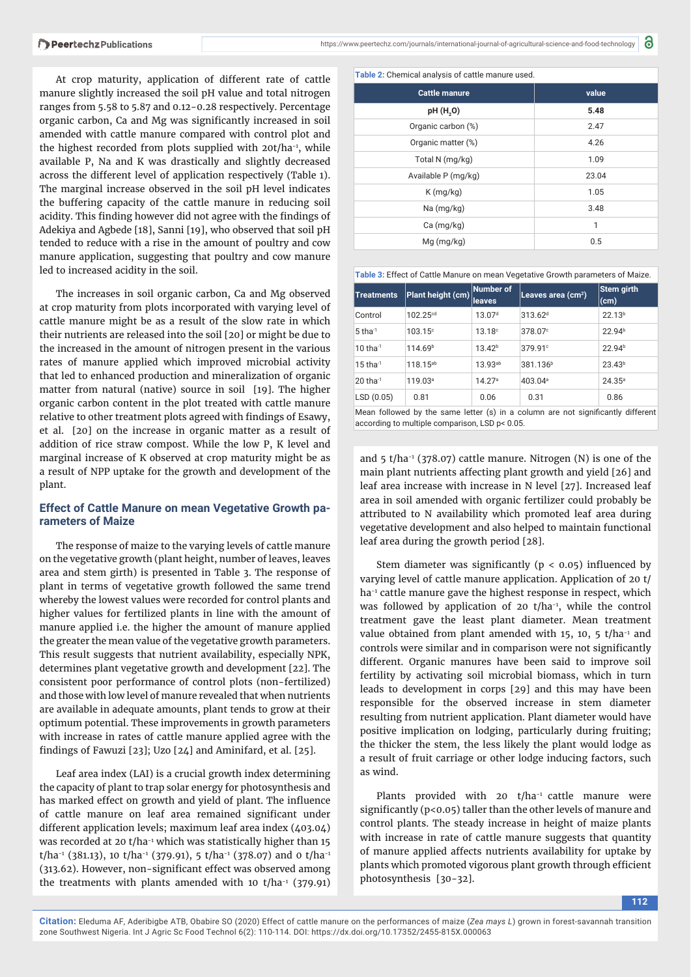At crop maturity, application of different rate of cattle manure slightly increased the soil pH value and total nitrogen ranges from 5.58 to 5.87 and 0.12-0.28 respectively. Percentage organic carbon, Ca and Mg was significantly increased in soil amended with cattle manure compared with control plot and the highest recorded from plots supplied with 20t/ha<sup>-1</sup>, while available P, Na and K was drastically and slightly decreased across the different level of application respectively (Table 1). The marginal increase observed in the soil pH level indicates the buffering capacity of the cattle manure in reducing soil acidity. This finding however did not agree with the findings of Adekiya and Agbede [18], Sanni [19], who observed that soil pH tended to reduce with a rise in the amount of poultry and cow manure application, suggesting that poultry and cow manure led to increased acidity in the soil.

The increases in soil organic carbon, Ca and Mg observed at crop maturity from plots incorporated with varying level of cattle manure might be as a result of the slow rate in which their nutrients are released into the soil [20] or might be due to the increased in the amount of nitrogen present in the various rates of manure applied which improved microbial activity that led to enhanced production and mineralization of organic matter from natural (native) source in soil [19]. The higher organic carbon content in the plot treated with cattle manure relative to other treatment plots agreed with findings of Esawy, et al. [20] on the increase in organic matter as a result of addition of rice straw compost. While the low P, K level and marginal increase of K observed at crop maturity might be as a result of NPP uptake for the growth and development of the plant.

### **Effect of Cattle Manure on mean Vegetative Growth parameters of Maize**

The response of maize to the varying levels of cattle manure on the vegetative growth (plant height, number of leaves, leaves area and stem girth) is presented in Table 3. The response of plant in terms of vegetative growth followed the same trend whereby the lowest values were recorded for control plants and higher values for fertilized plants in line with the amount of manure applied i.e. the higher the amount of manure applied the greater the mean value of the vegetative growth parameters. This result suggests that nutrient availability, especially NPK, determines plant vegetative growth and development [22]. The consistent poor performance of control plots (non-fertilized) and those with low level of manure revealed that when nutrients are available in adequate amounts, plant tends to grow at their optimum potential. These improvements in growth parameters with increase in rates of cattle manure applied agree with the findings of Fawuzi [23]; Uzo [24] and Aminifard, et al. [25].

Leaf area index (LAI) is a crucial growth index determining the capacity of plant to trap solar energy for photosynthesis and has marked effect on growth and yield of plant. The influence of cattle manure on leaf area remained significant under different application levels; maximum leaf area index (403.04) was recorded at 20 t/ha<sup>-1</sup> which was statistically higher than 15  $t/ha^{-1}$  (381.13), 10  $t/ha^{-1}$  (379.91), 5  $t/ha^{-1}$  (378.07) and 0  $t/ha^{-1}$ (313.62). However, non-significant effect was observed among the treatments with plants amended with 10  $t/ha^{-1}$  (379.91)

**Table 2:** Chemical analysis of cattle manure used.

| value |
|-------|
| 5.48  |
| 2.47  |
| 4.26  |
| 1.09  |
| 23.04 |
| 1.05  |
| 3.48  |
| 1     |
| 0.5   |
|       |

a

**Table 3:** Effect of Cattle Manure on mean Vegetative Growth parameters of Maize.

| <b>Treatments</b>                                                                | Plant height (cm)    | Number of<br>leaves | Leaves area (cm <sup>2</sup> ) | Stem girth<br>(cm) |  |  |
|----------------------------------------------------------------------------------|----------------------|---------------------|--------------------------------|--------------------|--|--|
| Control                                                                          | 102.25 <sup>cd</sup> | 13.07 <sup>d</sup>  | 313.62 <sup>d</sup>            | 22.13 <sup>b</sup> |  |  |
| $5$ tha $^{-1}$                                                                  | $103.15^{\circ}$     | 13.18c              | 378.07°                        | 22.94 <sup>b</sup> |  |  |
| $10$ tha <sup>-1</sup>                                                           | 114.69 <sup>b</sup>  | 13.42 <sup>b</sup>  | 379.91 <sup>c</sup>            | 22.94 <sup>b</sup> |  |  |
| $15$ tha <sup>-1</sup>                                                           | 118.15 <sup>ab</sup> | $13.93^{ab}$        | 381.136 <sup>b</sup>           | 23.43 <sup>b</sup> |  |  |
| $20$ tha <sup>-1</sup>                                                           | 119.03 <sup>a</sup>  | 14.27a              | 403.04 <sup>a</sup>            | $24.35^{\circ}$    |  |  |
| LSD(0.05)                                                                        | 0.81                 | 0.06                | 0.31                           | 0.86               |  |  |
| Maan fallowed by the same letter (a) in a solvmn are not significantly different |                      |                     |                                |                    |  |  |

Mean followed by the same letter (s) in a column are not significantly different according to multiple comparison, LSD p< 0.05.

and  $5 \frac{t}{ha^{-1}}$  (378.07) cattle manure. Nitrogen (N) is one of the main plant nutrients affecting plant growth and yield [26] and leaf area increase with increase in N level [27]. Increased leaf area in soil amended with organic fertilizer could probably be attributed to N availability which promoted leaf area during vegetative development and also helped to maintain functional leaf area during the growth period [28].

Stem diameter was significantly ( $p < 0.05$ ) influenced by varying level of cattle manure application. Application of 20 t/ ha<sup>-1</sup> cattle manure gave the highest response in respect, which was followed by application of 20 t/ha<sup>-1</sup>, while the control treatment gave the least plant diameter. Mean treatment value obtained from plant amended with  $15$ ,  $10$ ,  $5$  t/ha<sup>-1</sup> and controls were similar and in comparison were not significantly different. Organic manures have been said to improve soil fertility by activating soil microbial biomass, which in turn leads to development in corps [29] and this may have been responsible for the observed increase in stem diameter resulting from nutrient application. Plant diameter would have positive implication on lodging, particularly during fruiting; the thicker the stem, the less likely the plant would lodge as a result of fruit carriage or other lodge inducing factors, such as wind.

Plants provided with 20 t/ha<sup>-1</sup> cattle manure were significantly ( $p$ <0.05) taller than the other levels of manure and control plants. The steady increase in height of maize plants with increase in rate of cattle manure suggests that quantity of manure applied affects nutrients availability for uptake by plants which promoted vigorous plant growth through efficient photosynthesis [30-32].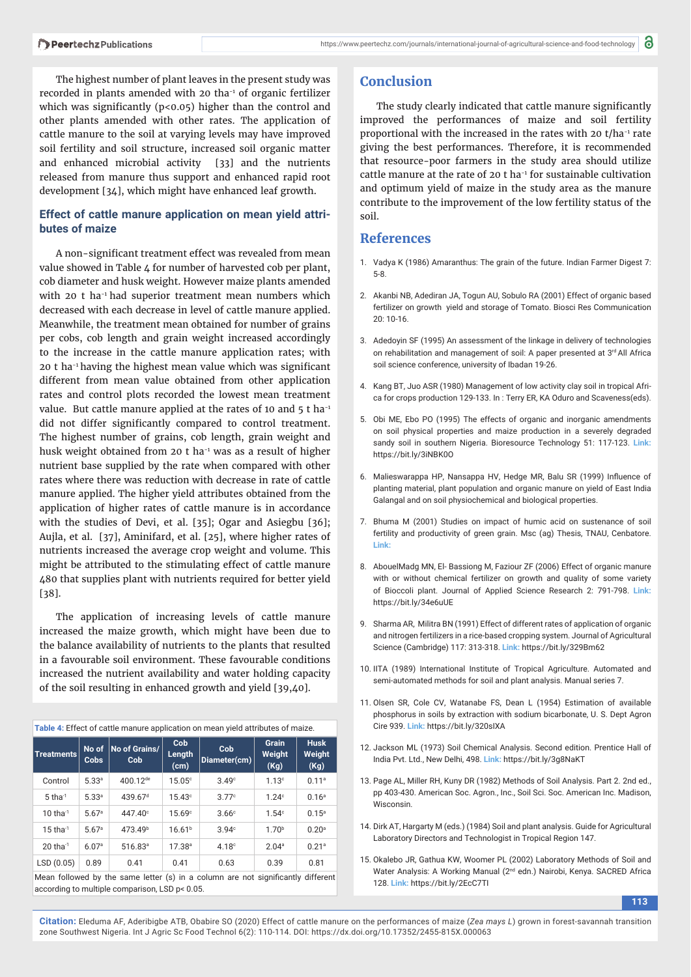The highest number of plant leaves in the present study was recorded in plants amended with 20 tha<sup>-1</sup> of organic fertilizer which was significantly ( $p$ <0.05) higher than the control and other plants amended with other rates. The application of cattle manure to the soil at varying levels may have improved soil fertility and soil structure, increased soil organic matter and enhanced microbial activity [33] and the nutrients released from manure thus support and enhanced rapid root development [34], which might have enhanced leaf growth.

## **Effect of cattle manure application on mean yield attributes of maize**

A non-significant treatment effect was revealed from mean value showed in Table 4 for number of harvested cob per plant, cob diameter and husk weight. However maize plants amended with 20 t ha<sup>-1</sup> had superior treatment mean numbers which decreased with each decrease in level of cattle manure applied. Meanwhile, the treatment mean obtained for number of grains per cobs, cob length and grain weight increased accordingly to the increase in the cattle manure application rates; with  $20$  t ha<sup>-1</sup> having the highest mean value which was significant different from mean value obtained from other application rates and control plots recorded the lowest mean treatment value. But cattle manure applied at the rates of 10 and  $5$  t ha<sup>-1</sup> did not differ significantly compared to control treatment. The highest number of grains, cob length, grain weight and husk weight obtained from 20 t ha<sup>-1</sup> was as a result of higher nutrient base supplied by the rate when compared with other rates where there was reduction with decrease in rate of cattle manure applied. The higher yield attributes obtained from the application of higher rates of cattle manure is in accordance with the studies of Devi, et al. [35]; Ogar and Asiegbu [36]; Aujla, et al. [37], Aminifard, et al. [25], where higher rates of nutrients increased the average crop weight and volume. This might be attributed to the stimulating effect of cattle manure 480 that supplies plant with nutrients required for better yield [38].

The application of increasing levels of cattle manure increased the maize growth, which might have been due to the balance availability of nutrients to the plants that resulted in a favourable soil environment. These favourable conditions increased the nutrient availability and water holding capacity of the soil resulting in enhanced growth and yield [39,40].

| Table 4: Effect of cattle manure application on mean yield attributes of maize. |  |  |  |  |  |  |  |
|---------------------------------------------------------------------------------|--|--|--|--|--|--|--|
|---------------------------------------------------------------------------------|--|--|--|--|--|--|--|

| <b>Treatments</b>                                                                | No of<br><b>Cobs</b> | No of Grains/<br>Cob | Cob<br>Length<br>(cm) | Cob<br>Diameter(cm) | <b>Grain</b><br>Weight<br>(Kg) | <b>Husk</b><br>Weight<br>(Kg) |  |
|----------------------------------------------------------------------------------|----------------------|----------------------|-----------------------|---------------------|--------------------------------|-------------------------------|--|
| Control                                                                          | 5.33 <sup>a</sup>    | 400.12de             | 15.05c                | 3.49 <sup>c</sup>   | 1.13 <sup>c</sup>              | 0.11 <sup>a</sup>             |  |
| $5$ tha $^{-1}$                                                                  | 5.33a                | 439.67 <sup>d</sup>  | 15.43c                | 3.77c               | 1.24c                          | 0.16 <sup>a</sup>             |  |
| $10$ tha $^{-1}$                                                                 | 5.67 <sup>a</sup>    | 447.40 <sup>c</sup>  | 15.69°                | 3.66c               | 1.54c                          | $0.15^{\circ}$                |  |
| $15$ tha $^{-1}$                                                                 | 5.67a                | 473.49 <sup>b</sup>  | 16.61 <sup>b</sup>    | 3.94c               | 1.70 <sup>b</sup>              | 0.20 <sup>a</sup>             |  |
| $20$ tha $^{-1}$                                                                 | 6.07a                | 516.83 <sup>a</sup>  | $17.38^{a}$           | 4.18 <sup>c</sup>   | 2.04 <sup>a</sup>              | 0.21 <sup>a</sup>             |  |
| LSD (0.05)                                                                       | 0.89                 | 0.41                 | 0.41                  | 0.63                | 0.39                           | 0.81                          |  |
| Moon followed by the same letter (a) in a solumn are not eignificantly different |                      |                      |                       |                     |                                |                               |  |

an followed by the same letter (s) in a column are not significantly different according to multiple comparison, LSD p< 0.05.

## **Conclusion**

The study clearly indicated that cattle manure significantly improved the performances of maize and soil fertility proportional with the increased in the rates with 20 t/ha-1 rate giving the best performances. Therefore, it is recommended that resource-poor farmers in the study area should utilize cattle manure at the rate of 20 t ha<sup>-1</sup> for sustainable cultivation and optimum yield of maize in the study area as the manure contribute to the improvement of the low fertility status of the soil.

## **References**

- 1. Vadya K (1986) Amaranthus: The grain of the future. Indian Farmer Digest 7: 5-8.
- 2. Akanbi NB, Adediran JA, Togun AU, Sobulo RA (2001) Effect of organic based fertilizer on growth yield and storage of Tomato. Biosci Res Communication 20: 10-16.
- 3. Adedoyin SF (1995) An assessment of the linkage in delivery of technologies on rehabilitation and management of soil: A paper presented at 3<sup>rd</sup> All Africa soil science conference, university of Ibadan 19-26.
- 4. Kang BT, Juo ASR (1980) Management of low activity clay soil in tropical Africa for crops production 129-133. In : Terry ER, KA Oduro and Scaveness(eds).
- 5. Obi ME, Ebo PO (1995) The effects of organic and inorganic amendments on soil physical properties and maize production in a severely degraded sandy soil in southern Nigeria. Bioresource Technology 51: 117-123. **Link:** https://bit.ly/3iNBK0O
- 6. Malieswarappa HP, Nansappa HV, Hedge MR, Balu SR (1999) Influence of planting material, plant population and organic manure on yield of East India Galangal and on soil physiochemical and biological properties.
- 7. Bhuma M (2001) Studies on impact of humic acid on sustenance of soil fertility and productivity of green grain. Msc (ag) Thesis, TNAU, Cenbatore. **Link:**
- 8. AbouelMadg MN, El- Bassiong M, Faziour ZF (2006) Effect of organic manure with or without chemical fertilizer on growth and quality of some variety of Bioccoli plant. Journal of Applied Science Research 2: 791-798. **Link:** https://bit.ly/34e6uUE
- 9. Sharma AR, Militra BN (1991) Effect of different rates of application of organic and nitrogen fertilizers in a rice-based cropping system. Journal of Agricultural Science (Cambridge) 117: 313-318. **Link:** https://bit.ly/329Bm62
- 10. IITA (1989) International Institute of Tropical Agriculture. Automated and semi-automated methods for soil and plant analysis. Manual series 7.
- 11. Olsen SR, Cole CV, Watanabe FS, Dean L (1954) Estimation of available phosphorus in soils by extraction with sodium bicarbonate, U. S. Dept Agron Cire 939. **Link:** https://bit.ly/320sIXA
- 12. Jackson ML (1973) Soil Chemical Analysis. Second edition. Prentice Hall of India Pvt. Ltd., New Delhi, 498. **Link:** https://bit.ly/3g8NaKT
- 13. Page AL, Miller RH, Kuny DR (1982) Methods of Soil Analysis. Part 2. 2nd ed., pp 403-430. American Soc. Agron., Inc., Soil Sci. Soc. American Inc. Madison, Wisconsin.
- 14. Dirk AT, Hargarty M (eds.) (1984) Soil and plant analysis. Guide for Agricultural Laboratory Directors and Technologist in Tropical Region 147.
- 15. Okalebo JR, Gathua KW, Woomer PL (2002) Laboratory Methods of Soil and Water Analysis: A Working Manual (2nd edn.) Nairobi, Kenya. SACRED Africa 128. **Link:** https://bit.ly/2EcC7TI

**113**